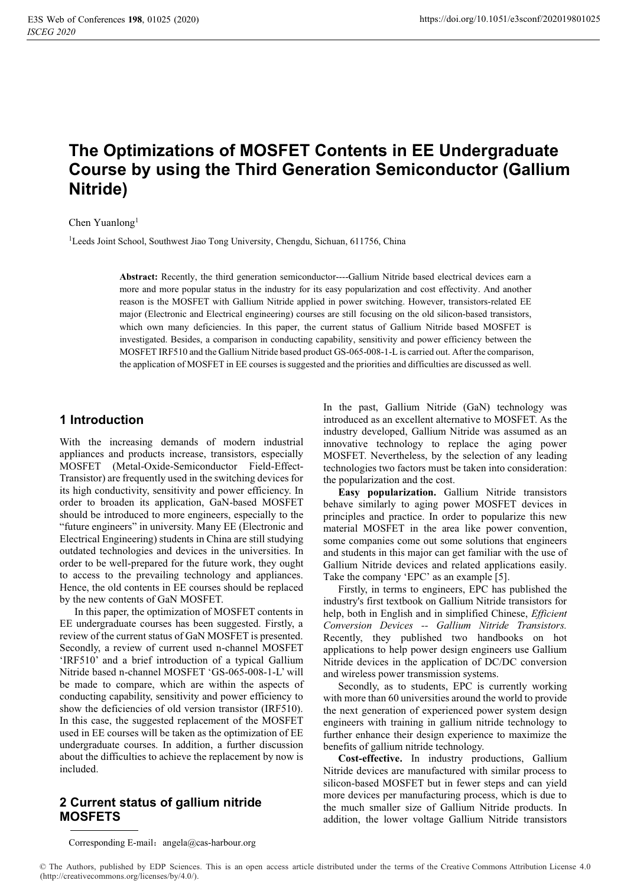# **The Optimizations of MOSFET Contents in EE Undergraduate Course by using the Third Generation Semiconductor (Gallium Nitride)**

#### Chen Yuanlong<sup>1</sup>

<sup>1</sup>Leeds Joint School, Southwest Jiao Tong University, Chengdu, Sichuan, 611756, China

**Abstract:** Recently, the third generation semiconductor----Gallium Nitride based electrical devices earn a more and more popular status in the industry for its easy popularization and cost effectivity. And another reason is the MOSFET with Gallium Nitride applied in power switching. However, transistors-related EE major (Electronic and Electrical engineering) courses are still focusing on the old silicon-based transistors, which own many deficiencies. In this paper, the current status of Gallium Nitride based MOSFET is investigated. Besides, a comparison in conducting capability, sensitivity and power efficiency between the MOSFET IRF510 and the Gallium Nitride based product GS-065-008-1-L is carried out. After the comparison, the application of MOSFET in EE courses is suggested and the priorities and difficulties are discussed as well.

#### **1 Introduction**

With the increasing demands of modern industrial appliances and products increase, transistors, especially MOSFET (Metal-Oxide-Semiconductor Field-Effect-Transistor) are frequently used in the switching devices for its high conductivity, sensitivity and power efficiency. In order to broaden its application, GaN-based MOSFET should be introduced to more engineers, especially to the "future engineers" in university. Many EE (Electronic and Electrical Engineering) students in China are still studying outdated technologies and devices in the universities. In order to be well-prepared for the future work, they ought to access to the prevailing technology and appliances. Hence, the old contents in EE courses should be replaced by the new contents of GaN MOSFET.

In this paper, the optimization of MOSFET contents in EE undergraduate courses has been suggested. Firstly, a review of the current status of GaN MOSFET is presented. Secondly, a review of current used n-channel MOSFET 'IRF510' and a brief introduction of a typical Gallium Nitride based n-channel MOSFET 'GS-065-008-1-L' will be made to compare, which are within the aspects of conducting capability, sensitivity and power efficiency to show the deficiencies of old version transistor (IRF510). In this case, the suggested replacement of the MOSFET used in EE courses will be taken as the optimization of EE undergraduate courses. In addition, a further discussion about the difficulties to achieve the replacement by now is included.

#### **2 Current status of gallium nitride MOSFETS**

In the past, Gallium Nitride (GaN) technology was introduced as an excellent alternative to MOSFET. As the industry developed, Gallium Nitride was assumed as an innovative technology to replace the aging power MOSFET. Nevertheless, by the selection of any leading technologies two factors must be taken into consideration: the popularization and the cost.

**Easy popularization.** Gallium Nitride transistors behave similarly to aging power MOSFET devices in principles and practice. In order to popularize this new material MOSFET in the area like power convention, some companies come out some solutions that engineers and students in this major can get familiar with the use of Gallium Nitride devices and related applications easily. Take the company 'EPC' as an example [5].

Firstly, in terms to engineers, EPC has published the industry's first textbook on Gallium Nitride transistors for help, both in English and in simplified Chinese, *Efficient Conversion Devices -- Gallium Nitride Transistors.* Recently, they published two handbooks on hot applications to help power design engineers use Gallium Nitride devices in the application of DC/DC conversion and wireless power transmission systems.

Secondly, as to students, EPC is currently working with more than 60 universities around the world to provide the next generation of experienced power system design engineers with training in gallium nitride technology to further enhance their design experience to maximize the benefits of gallium nitride technology.

**Cost-effective.** In industry productions, Gallium Nitride devices are manufactured with similar process to silicon-based MOSFET but in fewer steps and can yield more devices per manufacturing process, which is due to the much smaller size of Gallium Nitride products. In addition, the lower voltage Gallium Nitride transistors

Corresponding E-mail: angela@cas-harbour.org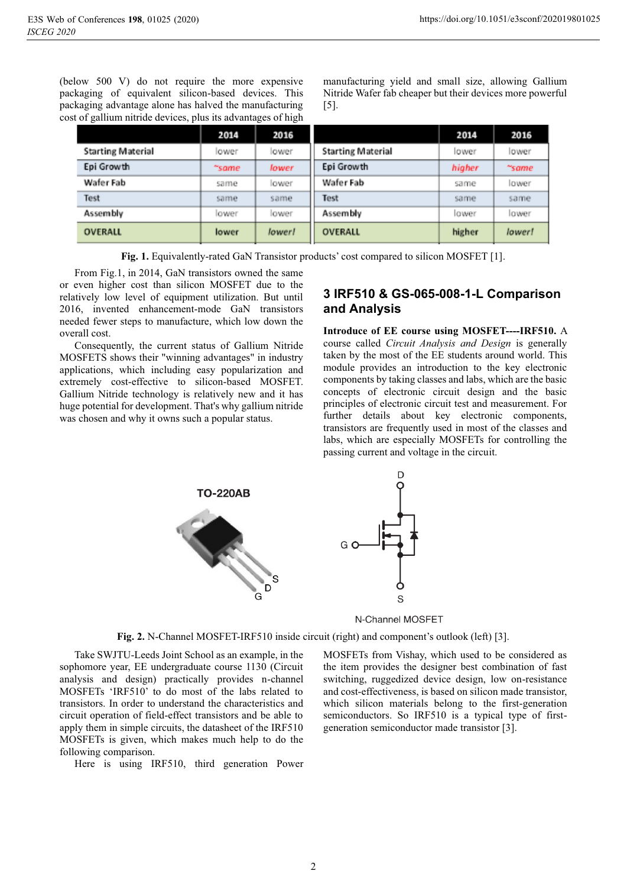(below 500 V) do not require the more expensive packaging of equivalent silicon-based devices. This packaging advantage alone has halved the manufacturing cost of gallium nitride devices, plus its advantages of high

manufacturing yield and small size, allowing Gallium Nitride Wafer fab cheaper but their devices more powerful [5].

|                          | 2014  | 2016   |                          | 2014   | 2016   |
|--------------------------|-------|--------|--------------------------|--------|--------|
| <b>Starting Material</b> | lower | lower  | <b>Starting Material</b> | lower  | lower  |
| Epi Growth               | "same | lower  | Epi Growth               | higher | ~same  |
| Wafer Fab                | same  | lower  | Wafer Fab                | same   | lower  |
| Test                     | same  | same   | Test                     | same   | same   |
| Assembly                 | lower | lower  | Assembly                 | lower  | lower  |
| OVERALL                  | lower | lower! | <b>OVERALL</b>           | higher | lower! |

**Fig. 1.** Equivalently-rated GaN Transistor products' cost compared to silicon MOSFET [1].

From Fig.1, in 2014, GaN transistors owned the same or even higher cost than silicon MOSFET due to the relatively low level of equipment utilization. But until 2016, invented enhancement-mode GaN transistors needed fewer steps to manufacture, which low down the overall cost.

Consequently, the current status of Gallium Nitride MOSFETS shows their "winning advantages" in industry applications, which including easy popularization and extremely cost-effective to silicon-based MOSFET. Gallium Nitride technology is relatively new and it has huge potential for development. That's why gallium nitride was chosen and why it owns such a popular status.

#### **3 IRF510 & GS-065-008-1-L Comparison and Analysis**

**Introduce of EE course using MOSFET----IRF510.** A course called *Circuit Analysis and Design* is generally taken by the most of the EE students around world. This module provides an introduction to the key electronic components by taking classes and labs, which are the basic concepts of electronic circuit design and the basic principles of electronic circuit test and measurement. For further details about key electronic components, transistors are frequently used in most of the classes and labs, which are especially MOSFETs for controlling the passing current and voltage in the circuit.



N-Channel MOSFET

**Fig. 2.** N-Channel MOSFET-IRF510 inside circuit (right) and component's outlook (left) [3].

Take SWJTU-Leeds Joint School as an example, in the sophomore year, EE undergraduate course 1130 (Circuit analysis and design) practically provides n-channel MOSFETs 'IRF510' to do most of the labs related to transistors. In order to understand the characteristics and circuit operation of field-effect transistors and be able to apply them in simple circuits, the datasheet of the IRF510 MOSFETs is given, which makes much help to do the following comparison.

Here is using IRF510, third generation Power

MOSFETs from Vishay, which used to be considered as the item provides the designer best combination of fast switching, ruggedized device design, low on-resistance and cost-effectiveness, is based on silicon made transistor, which silicon materials belong to the first-generation semiconductors. So IRF510 is a typical type of firstgeneration semiconductor made transistor [3].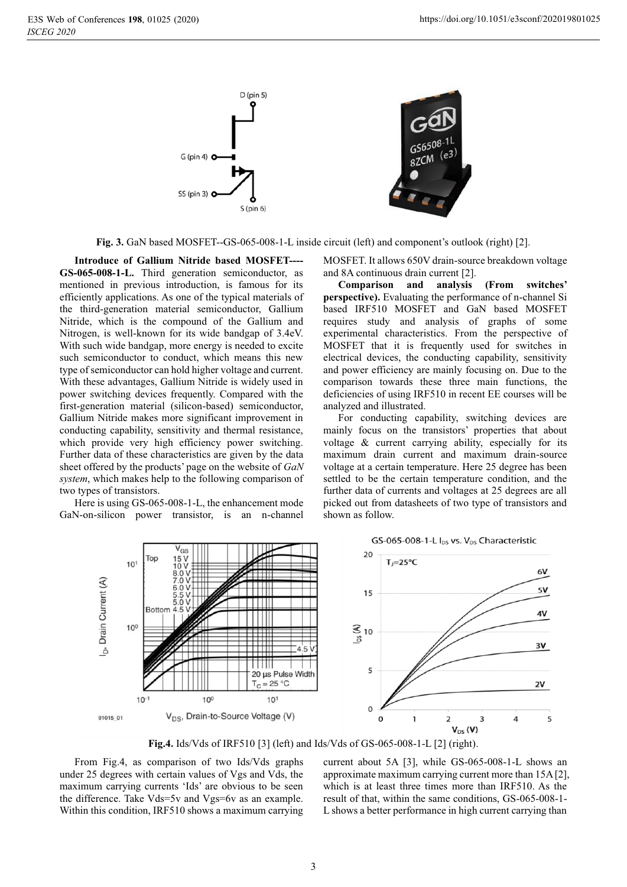

Fig. 3. GaN based MOSFET--GS-065-008-1-L inside circuit (left) and component's outlook (right) [2].

**Introduce of Gallium Nitride based MOSFET---- GS-065-008-1-L.** Third generation semiconductor, as mentioned in previous introduction, is famous for its efficiently applications. As one of the typical materials of the third-generation material semiconductor, Gallium Nitride, which is the compound of the Gallium and Nitrogen, is well-known for its wide bandgap of 3.4eV. With such wide bandgap, more energy is needed to excite such semiconductor to conduct, which means this new type of semiconductor can hold higher voltage and current. With these advantages, Gallium Nitride is widely used in power switching devices frequently. Compared with the first-generation material (silicon-based) semiconductor, Gallium Nitride makes more significant improvement in conducting capability, sensitivity and thermal resistance, which provide very high efficiency power switching. Further data of these characteristics are given by the data sheet offered by the products' page on the website of *GaN system*, which makes help to the following comparison of two types of transistors.

Here is using GS-065-008-1-L, the enhancement mode GaN-on-silicon power transistor, is an n-channel

MOSFET. It allows 650V drain-source breakdown voltage and 8A continuous drain current [2].

**Comparison and analysis (From switches' perspective).** Evaluating the performance of n-channel Si based IRF510 MOSFET and GaN based MOSFET requires study and analysis of graphs of some experimental characteristics. From the perspective of MOSFET that it is frequently used for switches in electrical devices, the conducting capability, sensitivity and power efficiency are mainly focusing on. Due to the comparison towards these three main functions, the deficiencies of using IRF510 in recent EE courses will be analyzed and illustrated.

For conducting capability, switching devices are mainly focus on the transistors' properties that about voltage & current carrying ability, especially for its maximum drain current and maximum drain-source voltage at a certain temperature. Here 25 degree has been settled to be the certain temperature condition, and the further data of currents and voltages at 25 degrees are all picked out from datasheets of two type of transistors and shown as follow.



**Fig.4.** Ids/Vds of IRF510 [3] (left) and Ids/Vds of GS-065-008-1-L [2] (right).

From Fig.4, as comparison of two Ids/Vds graphs under 25 degrees with certain values of Vgs and Vds, the maximum carrying currents 'Ids' are obvious to be seen the difference. Take Vds=5v and Vgs=6v as an example. Within this condition, IRF510 shows a maximum carrying

current about 5A [3], while GS-065-008-1-L shows an approximate maximum carrying current more than 15A [2], which is at least three times more than IRF510. As the result of that, within the same conditions, GS-065-008-1- L shows a better performance in high current carrying than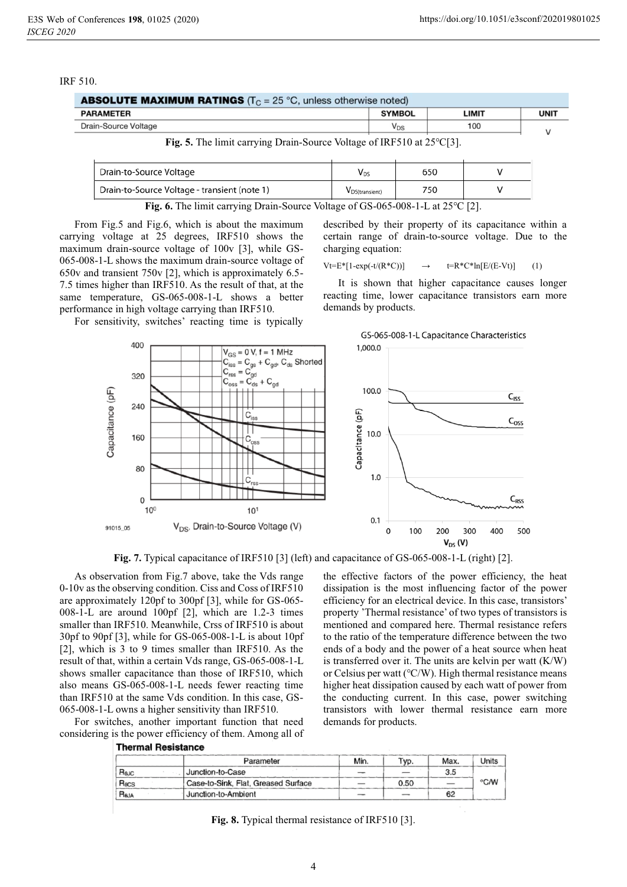#### IRF 510.

| <b>ABSOLUTE MAXIMUM RATINGS</b> ( $T_C = 25$ °C, unless otherwise noted)                     |                            |       |            |  |
|----------------------------------------------------------------------------------------------|----------------------------|-------|------------|--|
| <b>PARAMETER</b>                                                                             | <b>SYMBOL</b>              | LIMIT | <b>UNI</b> |  |
| Drain-Source Voltage                                                                         | $\mathsf{V}_{\mathsf{DS}}$ | 100   |            |  |
| $\Gamma$ $\sigma$ $\epsilon$ The limit correcting Drain Source Voltage of IDE510 of 2500 [2] |                            |       |            |  |

**Fig. 5.** The limit carrying Drain-Source Voltage of IRF510 at 25℃[3].

| Drain-to-Source Voltage                      |                | 650 |  |
|----------------------------------------------|----------------|-----|--|
| Drain-to-Source Voltage - transient (note 1) | VDS(transient) | 750 |  |

**Fig. 6.** The limit carrying Drain-Source Voltage of GS-065-008-1-L at 25℃ [2].

From Fig.5 and Fig.6, which is about the maximum carrying voltage at 25 degrees, IRF510 shows the maximum drain-source voltage of 100v [3], while GS-065-008-1-L shows the maximum drain-source voltage of 650v and transient 750v [2], which is approximately 6.5- 7.5 times higher than IRF510. As the result of that, at the same temperature, GS-065-008-1-L shows a better performance in high voltage carrying than IRF510.

For sensitivity, switches' reacting time is typically

described by their property of its capacitance within a certain range of drain-to-source voltage. Due to the charging equation:

 $Vt=E*[1-exp(-t/(R*C))]$   $\rightarrow$   $t=R*C*ln[E/(E-Vt)]$  (1)

It is shown that higher capacitance causes longer reacting time, lower capacitance transistors earn more demands by products.



**Fig. 7.** Typical capacitance of IRF510 [3] (left) and capacitance of GS-065-008-1-L (right) [2].

As observation from Fig.7 above, take the Vds range 0-10v as the observing condition. Ciss and Coss of IRF510 are approximately 120pf to 300pf [3], while for GS-065- 008-1-L are around 100pf [2], which are 1.2-3 times smaller than IRF510. Meanwhile, Crss of IRF510 is about 30pf to 90pf [3], while for GS-065-008-1-L is about 10pf [2], which is 3 to 9 times smaller than IRF510. As the result of that, within a certain Vds range, GS-065-008-1-L shows smaller capacitance than those of IRF510, which also means GS-065-008-1-L needs fewer reacting time than IRF510 at the same Vds condition. In this case, GS-065-008-1-L owns a higher sensitivity than IRF510.

For switches, another important function that need considering is the power efficiency of them. Among all of **Thermal Resistance** 

the effective factors of the power efficiency, the heat dissipation is the most influencing factor of the power efficiency for an electrical device. In this case, transistors' property 'Thermal resistance' of two types of transistors is mentioned and compared here. Thermal resistance refers to the ratio of the temperature difference between the two ends of a body and the power of a heat source when heat is transferred over it. The units are kelvin per watt (K/W) or Celsius per watt (℃/W). High thermal resistance means higher heat dissipation caused by each watt of power from the conducting current. In this case, power switching transistors with lower thermal resistance earn more demands for products.

|                  | Parameter                           | Min. | Typ. | Max. | Units |
|------------------|-------------------------------------|------|------|------|-------|
| $a_{\text{AUC}}$ | Junction-to-Case                    |      |      | 3.5  |       |
| $R_{\text{BCS}}$ | Case-to-Sink, Flat, Greased Surface |      | 0.50 |      | °C⁄W  |
| R <sub>BJA</sub> | Junction-to-Ambient                 |      |      | 62   |       |

**Fig. 8.** Typical thermal resistance of IRF510 [3].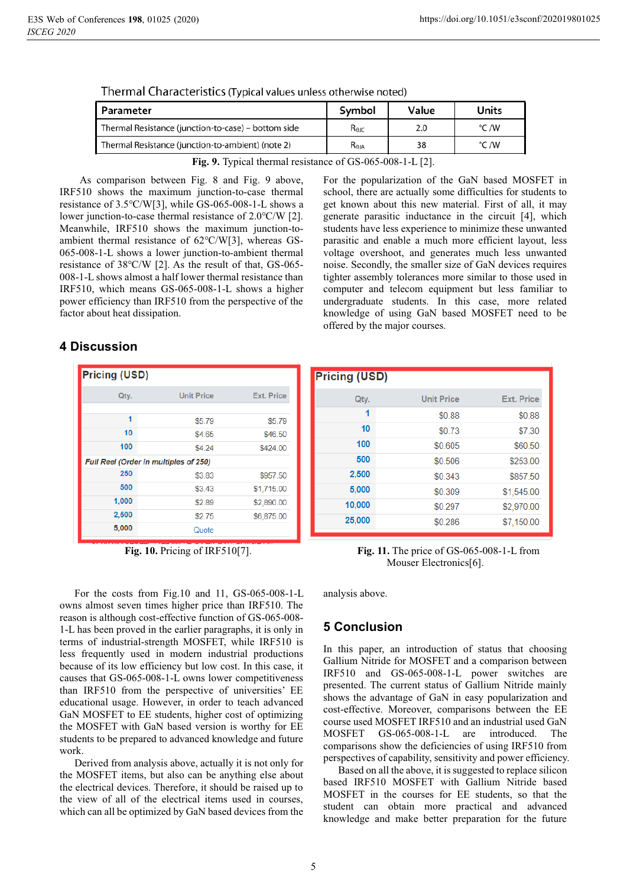| Parameter                                           | Symbol<br>Value |     | Units |  |
|-----------------------------------------------------|-----------------|-----|-------|--|
| Thermal Resistance (junction-to-case) – bottom side | $R_{\odot}$     | 2.0 | °C /W |  |
| Thermal Resistance (junction-to-ambient) (note 2)   | $R_{\Theta JA}$ | 38  | °C /W |  |

|  | Thermal Characteristics (Typical values unless otherwise noted) |  |
|--|-----------------------------------------------------------------|--|
|--|-----------------------------------------------------------------|--|

**Fig. 9.** Typical thermal resistance of GS-065-008-1-L [2].

 As comparison between Fig. 8 and Fig. 9 above, IRF510 shows the maximum junction-to-case thermal resistance of 3.5℃/W[3], while GS-065-008-1-L shows a lower junction-to-case thermal resistance of 2.0℃/W [2]. Meanwhile, IRF510 shows the maximum junction-toambient thermal resistance of 62℃/W[3], whereas GS-065-008-1-L shows a lower junction-to-ambient thermal resistance of 38℃/W [2]. As the result of that, GS-065- 008-1-L shows almost a half lower thermal resistance than IRF510, which means GS-065-008-1-L shows a higher power efficiency than IRF510 from the perspective of the factor about heat dissipation.

### **4 Discussion**

| <b>Pricing (USD)</b>                  |                   |                   |  |  |
|---------------------------------------|-------------------|-------------------|--|--|
| Qty.                                  | <b>Unit Price</b> | <b>Ext. Price</b> |  |  |
| 1                                     | \$5.79            | \$5.79            |  |  |
| 10                                    | \$4 65            | \$46.50           |  |  |
| 100                                   | \$4 24            | \$424.00          |  |  |
| Full Reel (Order in multiples of 250) |                   |                   |  |  |
| 250                                   | \$3.83            | \$957.50          |  |  |
| 500                                   | \$3.43            | \$1,715.00        |  |  |
| 1,000                                 | \$2.89            | \$2,890.00        |  |  |
| 2,500                                 | \$2.75            | \$6,875.00        |  |  |
| 5,000                                 | Quote             |                   |  |  |

For the costs from Fig.10 and 11, GS-065-008-1-L owns almost seven times higher price than IRF510. The reason is although cost-effective function of GS-065-008- 1-L has been proved in the earlier paragraphs, it is only in terms of industrial-strength MOSFET, while IRF510 is less frequently used in modern industrial productions because of its low efficiency but low cost. In this case, it causes that GS-065-008-1-L owns lower competitiveness than IRF510 from the perspective of universities' EE educational usage. However, in order to teach advanced GaN MOSFET to EE students, higher cost of optimizing the MOSFET with GaN based version is worthy for EE students to be prepared to advanced knowledge and future work.

Derived from analysis above, actually it is not only for the MOSFET items, but also can be anything else about the electrical devices. Therefore, it should be raised up to the view of all of the electrical items used in courses, which can all be optimized by GaN based devices from the

For the popularization of the GaN based MOSFET in school, there are actually some difficulties for students to get known about this new material. First of all, it may generate parasitic inductance in the circuit [4], which students have less experience to minimize these unwanted parasitic and enable a much more efficient layout, less voltage overshoot, and generates much less unwanted noise. Secondly, the smaller size of GaN devices requires tighter assembly tolerances more similar to those used in computer and telecom equipment but less familiar to undergraduate students. In this case, more related knowledge of using GaN based MOSFET need to be offered by the major courses.

| <b>Pricing (USD)</b> |                   |                   |  |  |
|----------------------|-------------------|-------------------|--|--|
| Qty.                 | <b>Unit Price</b> | <b>Ext. Price</b> |  |  |
| 1                    | \$0.88            | \$0.88            |  |  |
| 10                   | \$0.73            | \$7.30            |  |  |
| 100                  | \$0.605           | \$60.50           |  |  |
| 500                  | \$0.506           | \$253.00          |  |  |
| 2,500                | \$0.343           | \$857.50          |  |  |
| 5,000                | \$0.309           | \$1,545.00        |  |  |
| 10,000               | \$0.297           | \$2,970.00        |  |  |
| 25,000               | \$0.286           | \$7,150.00        |  |  |

**Fig. 10.** Pricing of IRF510[7]. **Fig. 11.** The price of GS-065-008-1-L from Mouser Electronics[6].

analysis above.

## **5 Conclusion**

In this paper, an introduction of status that choosing Gallium Nitride for MOSFET and a comparison between IRF510 and GS-065-008-1-L power switches are presented. The current status of Gallium Nitride mainly shows the advantage of GaN in easy popularization and cost-effective. Moreover, comparisons between the EE course used MOSFET IRF510 and an industrial used GaN MOSFET GS-065-008-1-L are introduced. The comparisons show the deficiencies of using IRF510 from perspectives of capability, sensitivity and power efficiency.

Based on all the above, it is suggested to replace silicon based IRF510 MOSFET with Gallium Nitride based MOSFET in the courses for EE students, so that the student can obtain more practical and advanced knowledge and make better preparation for the future